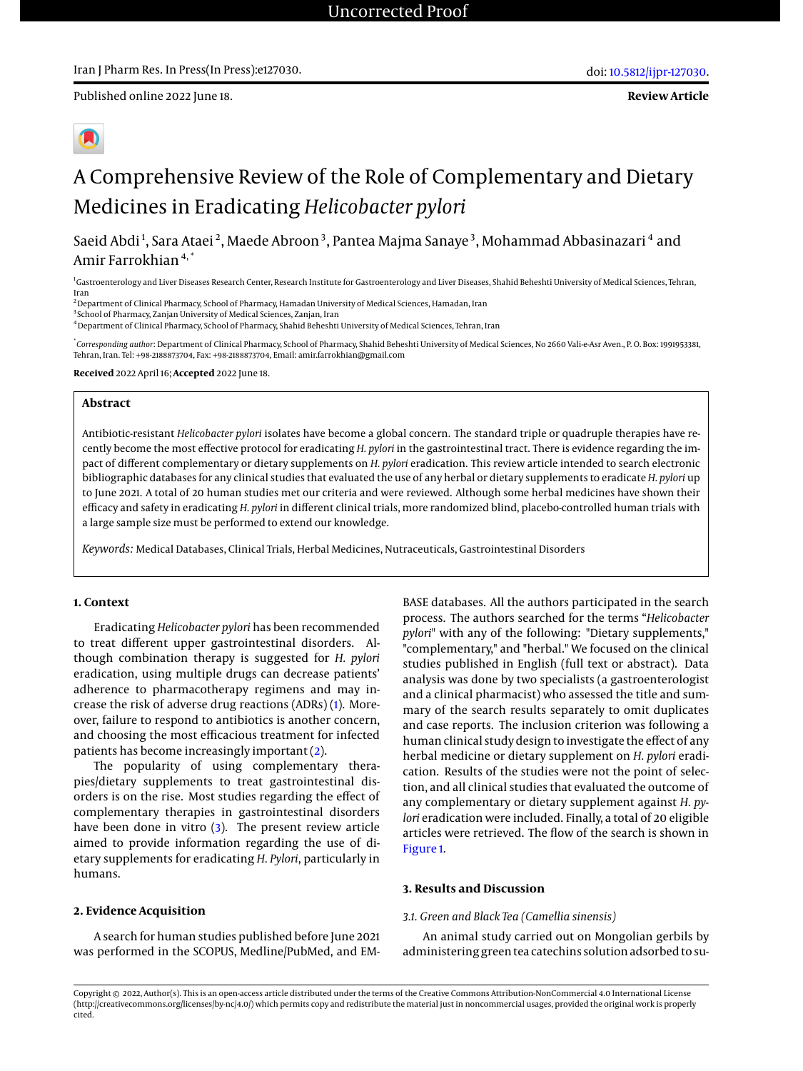Published online 2022 June 18.

# A Comprehensive Review of the Role of Complementary and Dietary Medicines in Eradicating *Helicobacter pylori*

Saeid Abdi<sup>1</sup>, Sara Ataei<sup>2</sup>, Maede Abroon<sup>3</sup>, Pantea Majma Sanaye<sup>3</sup>, Mohammad Abbasinazari<sup>4</sup> and Amir Farrokhian<sup>4,\*</sup>

<sup>1</sup>Gastroenterology and Liver Diseases Research Center, Research Institute for Gastroenterology and Liver Diseases, Shahid Beheshti University of Medical Sciences, Tehran, Iran

<sup>2</sup> Department of Clinical Pharmacy, School of Pharmacy, Hamadan University of Medical Sciences, Hamadan, Iran

<sup>3</sup> School of Pharmacy, Zanjan University of Medical Sciences, Zanjan, Iran

<sup>4</sup>Department of Clinical Pharmacy, School of Pharmacy, Shahid Beheshti University of Medical Sciences, Tehran, Iran

\* *Corresponding author*: Department of Clinical Pharmacy, School of Pharmacy, Shahid Beheshti University of Medical Sciences, No 2660 Vali-e-Asr Aven., P. O. Box: 1991953381, Tehran, Iran. Tel: +98-2188873704, Fax: +98-2188873704, Email: amir.farrokhian@gmail.com

**Received** 2022 April 16; **Accepted** 2022 June 18.

#### **Abstract**

Antibiotic-resistant *Helicobacter pylori* isolates have become a global concern. The standard triple or quadruple therapies have recently become the most effective protocol for eradicating *H. pylori* in the gastrointestinal tract. There is evidence regarding the impact of different complementary or dietary supplements on *H. pylori* eradication. This review article intended to search electronic bibliographic databases for any clinical studies that evaluated the use of any herbal or dietary supplements to eradicate *H. pylori* up to June 2021. A total of 20 human studies met our criteria and were reviewed. Although some herbal medicines have shown their efficacy and safety in eradicating *H. pylori* in different clinical trials, more randomized blind, placebo-controlled human trials with a large sample size must be performed to extend our knowledge.

*Keywords:* Medical Databases, Clinical Trials, Herbal Medicines, Nutraceuticals, Gastrointestinal Disorders

#### **1. Context**

Eradicating *Helicobacter pylori* has been recommended to treat different upper gastrointestinal disorders. Although combination therapy is suggested for *H. pylori* eradication, using multiple drugs can decrease patients' adherence to pharmacotherapy regimens and may increase the risk of adverse drug reactions (ADRs) [\(1\)](#page-6-0). Moreover, failure to respond to antibiotics is another concern, and choosing the most efficacious treatment for infected patients has become increasingly important [\(2\)](#page-6-1).

The popularity of using complementary therapies/dietary supplements to treat gastrointestinal disorders is on the rise. Most studies regarding the effect of complementary therapies in gastrointestinal disorders have been done in vitro [\(3\)](#page-6-2). The present review article aimed to provide information regarding the use of dietary supplements for eradicating *H. Pylori*, particularly in humans.

#### **2. Evidence Acquisition**

A search for human studies published before June 2021 was performed in the SCOPUS, Medline/PubMed, and EM-

BASE databases. All the authors participated in the search process. The authors searched for the terms "*Helicobacter pylori*" with any of the following: "Dietary supplements," "complementary," and "herbal." We focused on the clinical studies published in English (full text or abstract). Data analysis was done by two specialists (a gastroenterologist and a clinical pharmacist) who assessed the title and summary of the search results separately to omit duplicates and case reports. The inclusion criterion was following a human clinical study design to investigate the effect of any herbal medicine or dietary supplement on *H. pylori* eradication. Results of the studies were not the point of selection, and all clinical studies that evaluated the outcome of any complementary or dietary supplement against *H. pylori* eradication were included. Finally, a total of 20 eligible articles were retrieved. The flow of the search is shown in [Figure 1.](#page-1-0)

#### **3. Results and Discussion**

#### *3.1. Green and Black Tea (Camellia sinensis)*

An animal study carried out on Mongolian gerbils by administering green tea catechins solution adsorbed to su-

Copyright @ 2022, Author(s). This is an open-access article distributed under the terms of the Creative Commons Attribution-NonCommercial 4.0 International License (http://creativecommons.org/licenses/by-nc/4.0/) which permits copy and redistribute the material just in noncommercial usages, provided the original work is properly cited.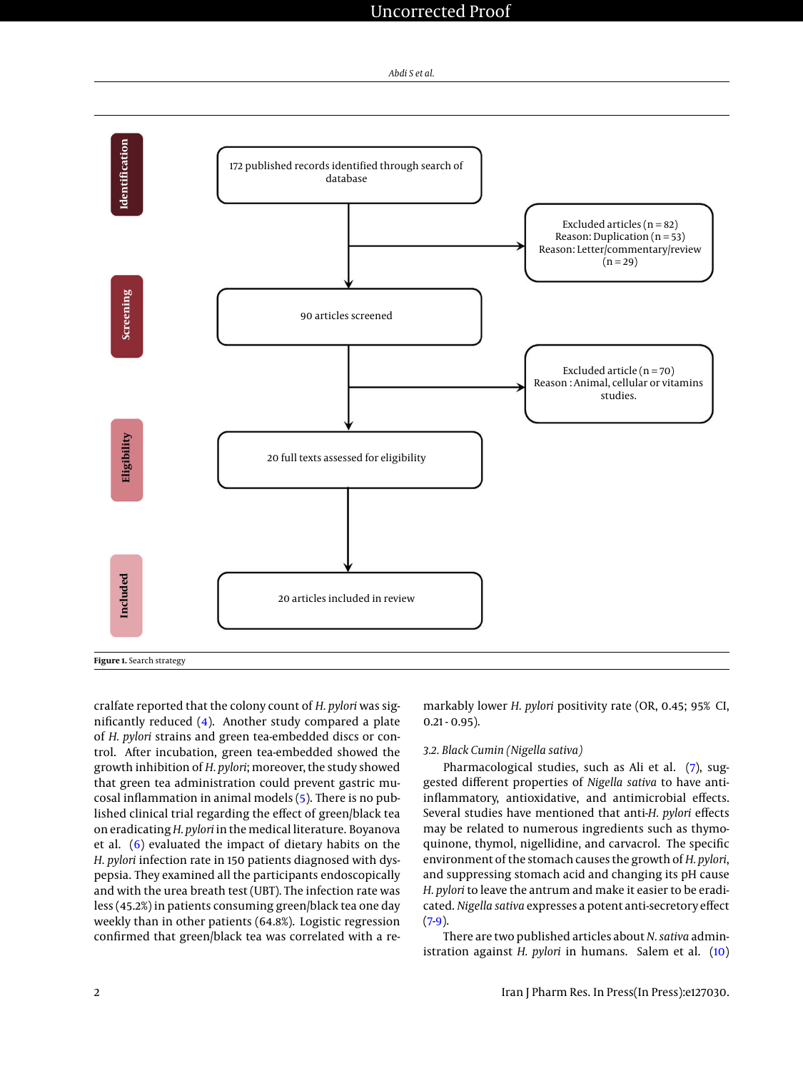### Uncorrected Proof



<span id="page-1-0"></span>

cralfate reported that the colony count of *H. pylori* was significantly reduced [\(4\)](#page-6-3). Another study compared a plate of *H. pylori* strains and green tea-embedded discs or control. After incubation, green tea-embedded showed the growth inhibition of *H. pylori*; moreover, the study showed that green tea administration could prevent gastric mucosal inflammation in animal models [\(5\)](#page-6-4). There is no published clinical trial regarding the effect of green/black tea on eradicating*H. pylori* in the medical literature. Boyanova et al. [\(6\)](#page-6-5) evaluated the impact of dietary habits on the *H. pylori* infection rate in 150 patients diagnosed with dyspepsia. They examined all the participants endoscopically and with the urea breath test (UBT). The infection rate was less (45.2%) in patients consuming green/black tea one day weekly than in other patients (64.8%). Logistic regression confirmed that green/black tea was correlated with a remarkably lower *H. pylori* positivity rate (OR, 0.45; 95% CI,  $0.21 - 0.95$ ).

#### *3.2. Black Cumin (Nigella sativa)*

Pharmacological studies, such as Ali et al. [\(7\)](#page-6-6), suggested different properties of *Nigella sativa* to have antiinflammatory, antioxidative, and antimicrobial effects. Several studies have mentioned that anti-*H. pylori* effects may be related to numerous ingredients such as thymoquinone, thymol, nigellidine, and carvacrol. The specific environment of the stomach causes the growth of *H. pylori*, and suppressing stomach acid and changing its pH cause *H. pylori* to leave the antrum and make it easier to be eradicated. *Nigella sativa* expresses a potent anti-secretory effect  $(7.9)$  $(7.9)$ .

There are two published articles about *N. sativa* administration against *H. pylori* in humans. Salem et al. [\(10\)](#page-6-8)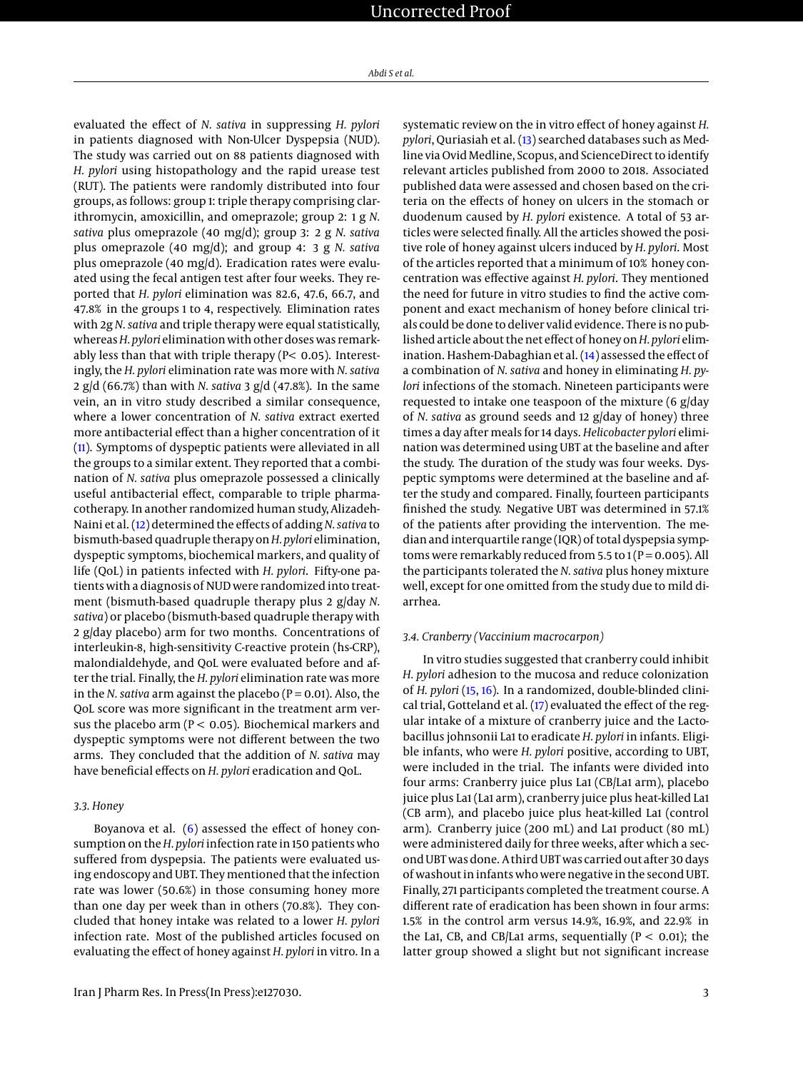evaluated the effect of *N. sativa* in suppressing *H. pylori* in patients diagnosed with Non-Ulcer Dyspepsia (NUD). The study was carried out on 88 patients diagnosed with *H. pylori* using histopathology and the rapid urease test (RUT). The patients were randomly distributed into four groups, as follows: group 1: triple therapy comprising clarithromycin, amoxicillin, and omeprazole; group 2: 1 g *N. sativa* plus omeprazole (40 mg/d); group 3: 2 g *N. sativa* plus omeprazole (40 mg/d); and group 4: 3 g *N. sativa* plus omeprazole (40 mg/d). Eradication rates were evaluated using the fecal antigen test after four weeks. They reported that *H. pylori* elimination was 82.6, 47.6, 66.7, and 47.8% in the groups 1 to 4, respectively. Elimination rates with 2g *N. sativa* and triple therapy were equal statistically, whereas*H. pylori* elimination with other doses was remarkably less than that with triple therapy (P< 0.05). Interestingly, the *H. pylori* elimination rate was more with *N. sativa* 2 g/d (66.7%) than with *N. sativa* 3 g/d (47.8%). In the same vein, an in vitro study described a similar consequence, where a lower concentration of *N. sativa* extract exerted more antibacterial effect than a higher concentration of it [\(11\)](#page-6-9). Symptoms of dyspeptic patients were alleviated in all the groups to a similar extent. They reported that a combination of *N. sativa* plus omeprazole possessed a clinically useful antibacterial effect, comparable to triple pharmacotherapy. In another randomized human study, Alizadeh-Naini et al. [\(12\)](#page-6-10) determined the effects of adding*N. sativa* to bismuth-based quadruple therapy on*H. pylori* elimination, dyspeptic symptoms, biochemical markers, and quality of life (QoL) in patients infected with *H. pylori*. Fifty-one patients with a diagnosis of NUD were randomized into treatment (bismuth-based quadruple therapy plus 2 g/day *N. sativa*) or placebo (bismuth-based quadruple therapy with 2 g/day placebo) arm for two months. Concentrations of interleukin-8, high-sensitivity C-reactive protein (hs-CRP), malondialdehyde, and QoL were evaluated before and after the trial. Finally, the *H. pylori* elimination rate was more in the *N. sativa* arm against the placebo (P = 0.01). Also, the QoL score was more significant in the treatment arm versus the placebo arm ( $P < 0.05$ ). Biochemical markers and dyspeptic symptoms were not different between the two arms. They concluded that the addition of *N. sativa* may have beneficial effects on *H. pylori* eradication and QoL.

#### *3.3. Honey*

Boyanova et al. [\(6\)](#page-6-5) assessed the effect of honey consumption on the*H. pylori* infection rate in 150 patients who suffered from dyspepsia. The patients were evaluated using endoscopy and UBT. They mentioned that the infection rate was lower (50.6%) in those consuming honey more than one day per week than in others (70.8%). They concluded that honey intake was related to a lower *H. pylori* infection rate. Most of the published articles focused on evaluating the effect of honey against *H. pylori* in vitro. In a

systematic review on the in vitro effect of honey against *H. pylori*, Quriasiah et al. [\(13\)](#page-6-11) searched databases such as Medline via Ovid Medline, Scopus, and ScienceDirect to identify relevant articles published from 2000 to 2018. Associated published data were assessed and chosen based on the criteria on the effects of honey on ulcers in the stomach or duodenum caused by *H. pylori* existence. A total of 53 articles were selected finally. All the articles showed the positive role of honey against ulcers induced by *H. pylori*. Most of the articles reported that a minimum of 10% honey concentration was effective against *H. pylori*. They mentioned the need for future in vitro studies to find the active component and exact mechanism of honey before clinical trials could be done to deliver valid evidence. There is no published article about the net effect of honey on*H. pylori* elimination. Hashem-Dabaghian et al. [\(14\)](#page-6-12) assessed the effect of a combination of *N. sativa* and honey in eliminating *H. pylori* infections of the stomach. Nineteen participants were requested to intake one teaspoon of the mixture (6 g/day of *N. sativa* as ground seeds and 12 g/day of honey) three times a day after meals for 14 days. *Helicobacter pylori* elimination was determined using UBT at the baseline and after the study. The duration of the study was four weeks. Dyspeptic symptoms were determined at the baseline and after the study and compared. Finally, fourteen participants finished the study. Negative UBT was determined in 57.1% of the patients after providing the intervention. The median and interquartile range (IQR) of total dyspepsia symptoms were remarkably reduced from  $5.5$  to  $1(P = 0.005)$ . All the participants tolerated the *N. sativa* plus honey mixture well, except for one omitted from the study due to mild diarrhea.

#### *3.4. Cranberry (Vaccinium macrocarpon)*

In vitro studies suggested that cranberry could inhibit *H. pylori* adhesion to the mucosa and reduce colonization of *H. pylori* [\(15,](#page-6-13) [16\)](#page-6-14). In a randomized, double-blinded clinical trial, Gotteland et al. [\(17\)](#page-6-15) evaluated the effect of the regular intake of a mixture of cranberry juice and the Lactobacillus johnsonii La1 to eradicate *H. pylori* in infants. Eligible infants, who were *H. pylori* positive, according to UBT, were included in the trial. The infants were divided into four arms: Cranberry juice plus La1 (CB/La1 arm), placebo juice plus La1 (La1 arm), cranberry juice plus heat-killed La1 (CB arm), and placebo juice plus heat-killed La1 (control arm). Cranberry juice (200 mL) and La1 product (80 mL) were administered daily for three weeks, after which a second UBT was done. A third UBT was carried out after 30 days of washout in infants who were negative in the second UBT. Finally, 271 participants completed the treatment course. A different rate of eradication has been shown in four arms: 1.5% in the control arm versus 14.9%, 16.9%, and 22.9% in the La1, CB, and CB/La1 arms, sequentially ( $P < 0.01$ ); the latter group showed a slight but not significant increase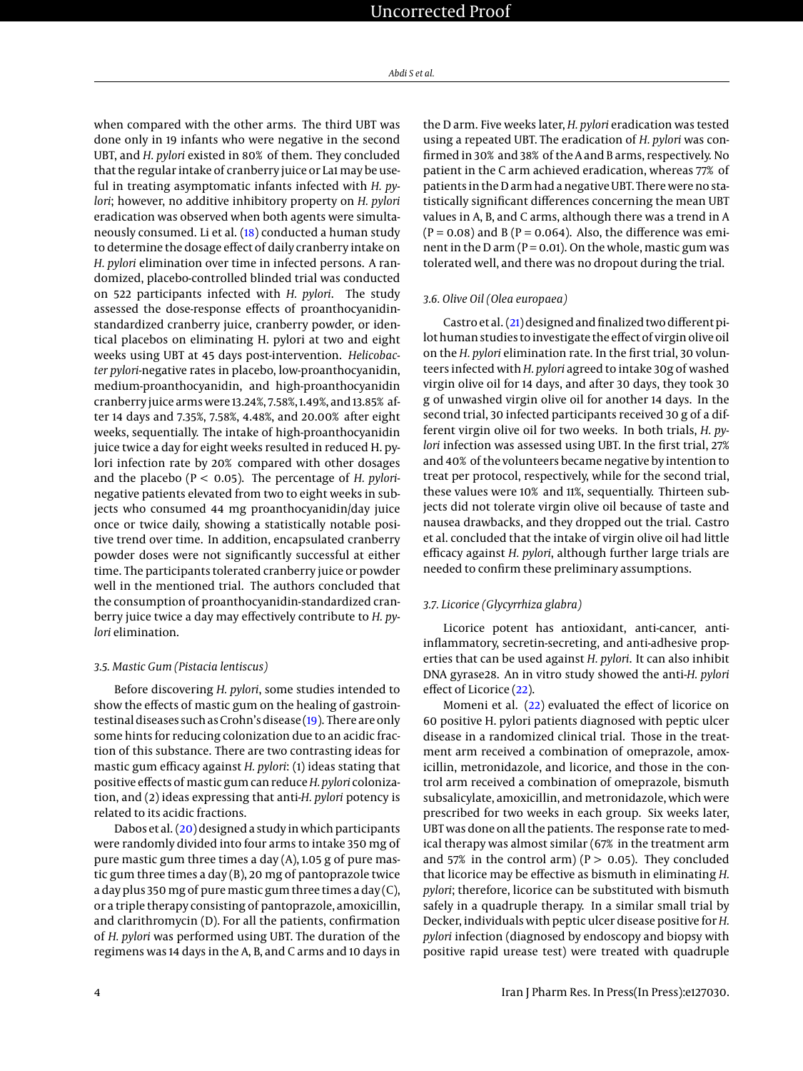when compared with the other arms. The third UBT was done only in 19 infants who were negative in the second UBT, and *H. pylori* existed in 80% of them. They concluded that the regular intake of cranberry juice or La1 may be useful in treating asymptomatic infants infected with *H. pylori*; however, no additive inhibitory property on *H. pylori* eradication was observed when both agents were simultaneously consumed. Li et al. [\(18\)](#page-6-16) conducted a human study to determine the dosage effect of daily cranberry intake on *H. pylori* elimination over time in infected persons. A randomized, placebo-controlled blinded trial was conducted on 522 participants infected with *H. pylori*. The study assessed the dose-response effects of proanthocyanidinstandardized cranberry juice, cranberry powder, or identical placebos on eliminating H. pylori at two and eight weeks using UBT at 45 days post-intervention. *Helicobacter pylori*-negative rates in placebo, low-proanthocyanidin, medium-proanthocyanidin, and high-proanthocyanidin cranberry juice arms were 13.24%, 7.58%, 1.49%, and 13.85% after 14 days and 7.35%, 7.58%, 4.48%, and 20.00% after eight weeks, sequentially. The intake of high-proanthocyanidin juice twice a day for eight weeks resulted in reduced H. pylori infection rate by 20% compared with other dosages and the placebo (P < 0.05). The percentage of *H. pylori*negative patients elevated from two to eight weeks in subjects who consumed 44 mg proanthocyanidin/day juice once or twice daily, showing a statistically notable positive trend over time. In addition, encapsulated cranberry powder doses were not significantly successful at either time. The participants tolerated cranberry juice or powder well in the mentioned trial. The authors concluded that the consumption of proanthocyanidin-standardized cranberry juice twice a day may effectively contribute to *H. pylori* elimination.

#### *3.5. Mastic Gum (Pistacia lentiscus)*

Before discovering *H. pylori*, some studies intended to show the effects of mastic gum on the healing of gastrointestinal diseases such as Crohn's disease [\(19\)](#page-6-17). There are only some hints for reducing colonization due to an acidic fraction of this substance. There are two contrasting ideas for mastic gum efficacy against *H. pylori*: (1) ideas stating that positive effects of mastic gum can reduce*H. pylori* colonization, and (2) ideas expressing that anti-*H. pylori* potency is related to its acidic fractions.

Dabos et al. [\(20\)](#page-6-18) designed a study in which participants were randomly divided into four arms to intake 350 mg of pure mastic gum three times a day (A), 1.05 g of pure mastic gum three times a day (B), 20 mg of pantoprazole twice a day plus 350 mg of pure mastic gum three times a day (C), or a triple therapy consisting of pantoprazole, amoxicillin, and clarithromycin (D). For all the patients, confirmation of *H. pylori* was performed using UBT. The duration of the regimens was 14 days in the A, B, and C arms and 10 days in

the D arm. Five weeks later, *H. pylori* eradication was tested using a repeated UBT. The eradication of *H. pylori* was confirmed in 30% and 38% of the A and B arms, respectively. No patient in the C arm achieved eradication, whereas 77% of patients in the D arm had a negative UBT. There were no statistically significant differences concerning the mean UBT values in A, B, and C arms, although there was a trend in A  $(P = 0.08)$  and B  $(P = 0.064)$ . Also, the difference was eminent in the D arm ( $P = 0.01$ ). On the whole, mastic gum was tolerated well, and there was no dropout during the trial.

#### *3.6. Olive Oil (Olea europaea)*

Castro et al. [\(21\)](#page-6-19) designed and finalized two different pilot human studies to investigate the effect of virgin olive oil on the *H. pylori* elimination rate. In the first trial, 30 volunteers infected with *H. pylori* agreed to intake 30g of washed virgin olive oil for 14 days, and after 30 days, they took 30 g of unwashed virgin olive oil for another 14 days. In the second trial, 30 infected participants received 30 g of a different virgin olive oil for two weeks. In both trials, *H. pylori* infection was assessed using UBT. In the first trial, 27% and 40% of the volunteers became negative by intention to treat per protocol, respectively, while for the second trial, these values were 10% and 11%, sequentially. Thirteen subjects did not tolerate virgin olive oil because of taste and nausea drawbacks, and they dropped out the trial. Castro et al. concluded that the intake of virgin olive oil had little efficacy against *H. pylori*, although further large trials are needed to confirm these preliminary assumptions.

#### *3.7. Licorice (Glycyrrhiza glabra)*

Licorice potent has antioxidant, anti-cancer, antiinflammatory, secretin-secreting, and anti-adhesive properties that can be used against *H. pylori*. It can also inhibit DNA gyrase28. An in vitro study showed the anti-*H. pylori* effect of Licorice [\(22\)](#page-6-20).

Momeni et al. [\(22\)](#page-6-20) evaluated the effect of licorice on 60 positive H. pylori patients diagnosed with peptic ulcer disease in a randomized clinical trial. Those in the treatment arm received a combination of omeprazole, amoxicillin, metronidazole, and licorice, and those in the control arm received a combination of omeprazole, bismuth subsalicylate, amoxicillin, and metronidazole, which were prescribed for two weeks in each group. Six weeks later, UBT was done on all the patients. The response rate to medical therapy was almost similar (67% in the treatment arm and 57% in the control arm) ( $P > 0.05$ ). They concluded that licorice may be effective as bismuth in eliminating *H. pylori*; therefore, licorice can be substituted with bismuth safely in a quadruple therapy. In a similar small trial by Decker, individuals with peptic ulcer disease positive for*H. pylori* infection (diagnosed by endoscopy and biopsy with positive rapid urease test) were treated with quadruple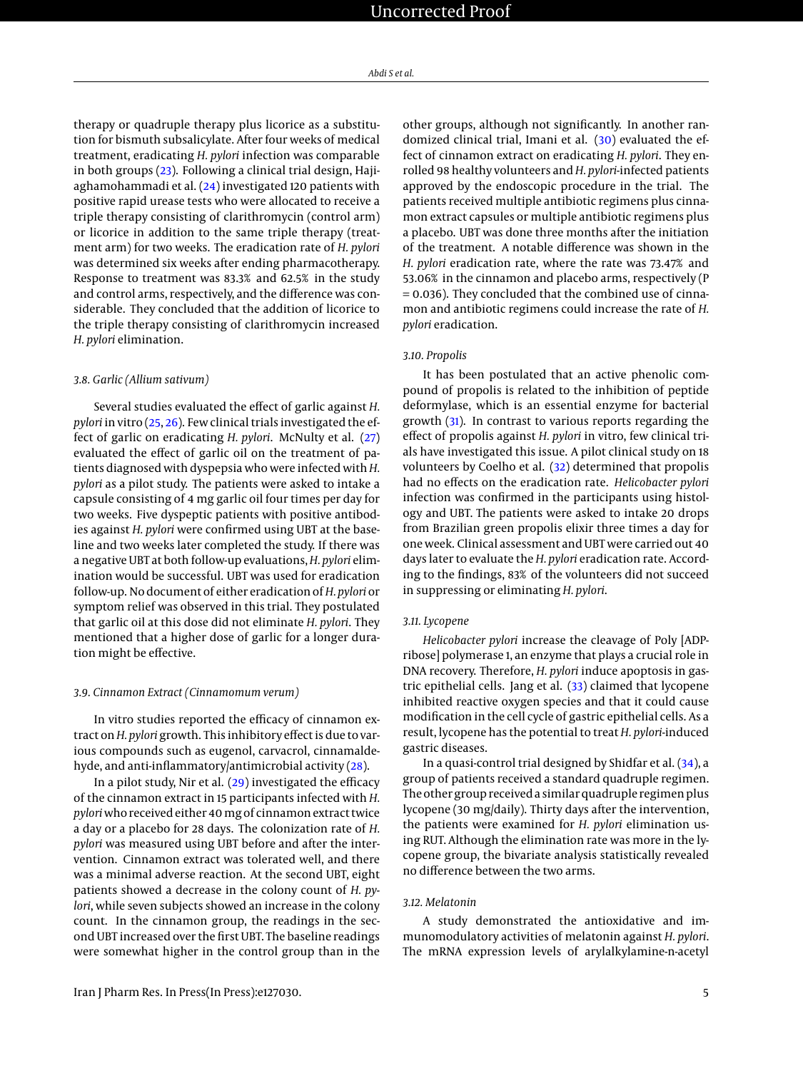therapy or quadruple therapy plus licorice as a substitution for bismuth subsalicylate. After four weeks of medical treatment, eradicating *H. pylori* infection was comparable in both groups [\(23\)](#page-6-21). Following a clinical trial design, Hajiaghamohammadi et al.  $(24)$  investigated 120 patients with positive rapid urease tests who were allocated to receive a triple therapy consisting of clarithromycin (control arm) or licorice in addition to the same triple therapy (treatment arm) for two weeks. The eradication rate of *H. pylori* was determined six weeks after ending pharmacotherapy. Response to treatment was 83.3% and 62.5% in the study and control arms, respectively, and the difference was considerable. They concluded that the addition of licorice to the triple therapy consisting of clarithromycin increased *H. pylori* elimination.

#### *3.8. Garlic (Allium sativum)*

Several studies evaluated the effect of garlic against *H. pylori* in vitro [\(25,](#page-6-23) [26\)](#page-6-24). Few clinical trials investigated the effect of garlic on eradicating *H. pylori*. McNulty et al. [\(27\)](#page-6-25) evaluated the effect of garlic oil on the treatment of patients diagnosed with dyspepsia who were infected with*H. pylori* as a pilot study. The patients were asked to intake a capsule consisting of 4 mg garlic oil four times per day for two weeks. Five dyspeptic patients with positive antibodies against *H. pylori* were confirmed using UBT at the baseline and two weeks later completed the study. If there was a negative UBT at both follow-up evaluations, *H. pylori* elimination would be successful. UBT was used for eradication follow-up. No document of either eradication of *H. pylori* or symptom relief was observed in this trial. They postulated that garlic oil at this dose did not eliminate *H. pylori*. They mentioned that a higher dose of garlic for a longer duration might be effective.

#### *3.9. Cinnamon Extract (Cinnamomum verum)*

In vitro studies reported the efficacy of cinnamon extract on*H. pylori* growth. This inhibitory effect is due to various compounds such as eugenol, carvacrol, cinnamaldehyde, and anti-inflammatory/antimicrobial activity [\(28\)](#page-7-0).

In a pilot study, Nir et al. [\(29\)](#page-7-1) investigated the efficacy of the cinnamon extract in 15 participants infected with *H. pylori*who received either 40 mg of cinnamon extract twice a day or a placebo for 28 days. The colonization rate of *H. pylori* was measured using UBT before and after the intervention. Cinnamon extract was tolerated well, and there was a minimal adverse reaction. At the second UBT, eight patients showed a decrease in the colony count of *H. pylori*, while seven subjects showed an increase in the colony count. In the cinnamon group, the readings in the second UBT increased over the first UBT. The baseline readings were somewhat higher in the control group than in the

other groups, although not significantly. In another ran-domized clinical trial, Imani et al. [\(30\)](#page-7-2) evaluated the effect of cinnamon extract on eradicating *H. pylori*. They enrolled 98 healthy volunteers and *H. pylori*-infected patients approved by the endoscopic procedure in the trial. The patients received multiple antibiotic regimens plus cinnamon extract capsules or multiple antibiotic regimens plus a placebo. UBT was done three months after the initiation of the treatment. A notable difference was shown in the *H. pylori* eradication rate, where the rate was 73.47% and 53.06% in the cinnamon and placebo arms, respectively (P = 0.036). They concluded that the combined use of cinnamon and antibiotic regimens could increase the rate of *H. pylori* eradication.

#### *3.10. Propolis*

It has been postulated that an active phenolic compound of propolis is related to the inhibition of peptide deformylase, which is an essential enzyme for bacterial growth [\(31\)](#page-7-3). In contrast to various reports regarding the effect of propolis against *H. pylori* in vitro, few clinical trials have investigated this issue. A pilot clinical study on 18 volunteers by Coelho et al. [\(32\)](#page-7-4) determined that propolis had no effects on the eradication rate. *Helicobacter pylori* infection was confirmed in the participants using histology and UBT. The patients were asked to intake 20 drops from Brazilian green propolis elixir three times a day for one week. Clinical assessment and UBT were carried out 40 days later to evaluate the *H. pylori* eradication rate. According to the findings, 83% of the volunteers did not succeed in suppressing or eliminating *H. pylori*.

#### *3.11. Lycopene*

*Helicobacter pylori* increase the cleavage of Poly [ADPribose] polymerase 1, an enzyme that plays a crucial role in DNA recovery. Therefore, *H. pylori* induce apoptosis in gastric epithelial cells. Jang et al. [\(33\)](#page-7-5) claimed that lycopene inhibited reactive oxygen species and that it could cause modification in the cell cycle of gastric epithelial cells. As a result, lycopene has the potential to treat *H. pylori*-induced gastric diseases.

In a quasi-control trial designed by Shidfar et al. [\(34\)](#page-7-6), a group of patients received a standard quadruple regimen. The other group received a similar quadruple regimen plus lycopene (30 mg/daily). Thirty days after the intervention, the patients were examined for *H. pylori* elimination using RUT. Although the elimination rate was more in the lycopene group, the bivariate analysis statistically revealed no difference between the two arms.

#### *3.12. Melatonin*

A study demonstrated the antioxidative and immunomodulatory activities of melatonin against *H. pylori*. The mRNA expression levels of arylalkylamine-n-acetyl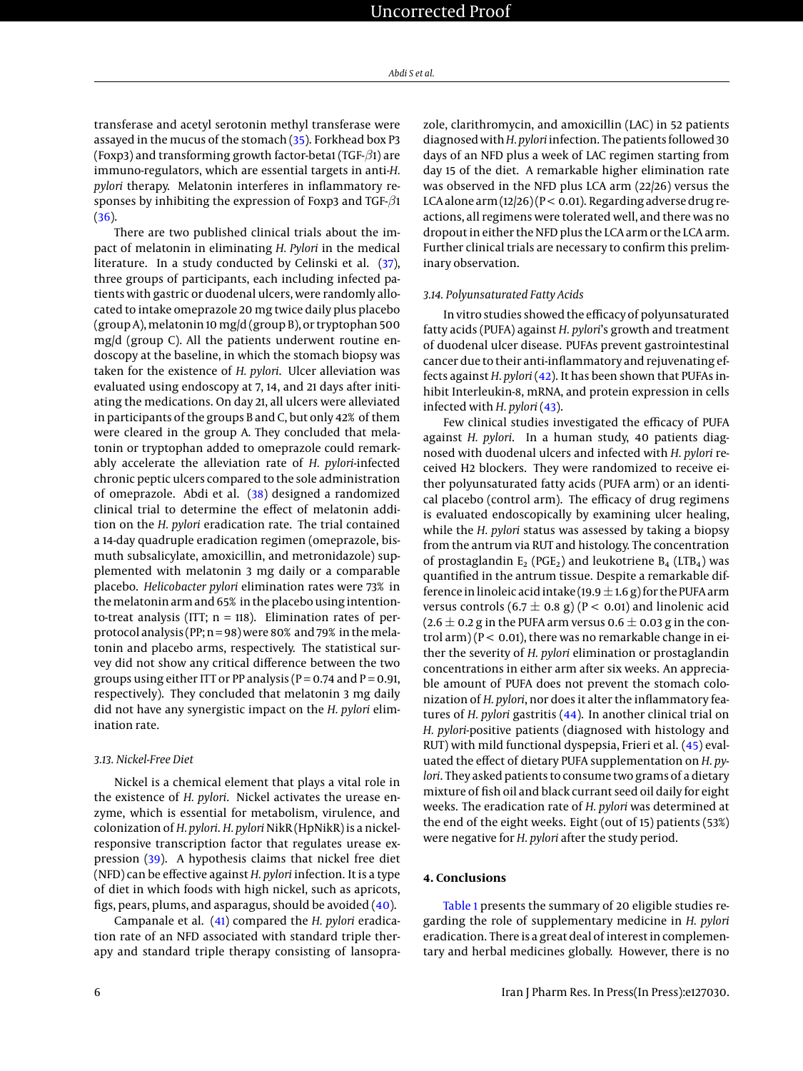transferase and acetyl serotonin methyl transferase were assayed in the mucus of the stomach [\(35\)](#page-7-7). Forkhead box P3 (Foxp3) and transforming growth factor-beta1 (TGF- $\beta$ 1) are immuno-regulators, which are essential targets in anti-*H. pylori* therapy. Melatonin interferes in inflammatory responses by inhibiting the expression of Foxp3 and TGF- $\beta$ 1 [\(36\)](#page-7-8).

There are two published clinical trials about the impact of melatonin in eliminating *H. Pylori* in the medical literature. In a study conducted by Celinski et al. [\(37\)](#page-7-9), three groups of participants, each including infected patients with gastric or duodenal ulcers, were randomly allocated to intake omeprazole 20 mg twice daily plus placebo (group A), melatonin 10 mg/d (group B), or tryptophan 500 mg/d (group C). All the patients underwent routine endoscopy at the baseline, in which the stomach biopsy was taken for the existence of *H. pylori*. Ulcer alleviation was evaluated using endoscopy at 7, 14, and 21 days after initiating the medications. On day 21, all ulcers were alleviated in participants of the groups B and C, but only 42% of them were cleared in the group A. They concluded that melatonin or tryptophan added to omeprazole could remarkably accelerate the alleviation rate of *H. pylori*-infected chronic peptic ulcers compared to the sole administration of omeprazole. Abdi et al. [\(38\)](#page-7-10) designed a randomized clinical trial to determine the effect of melatonin addition on the *H. pylori* eradication rate. The trial contained a 14-day quadruple eradication regimen (omeprazole, bismuth subsalicylate, amoxicillin, and metronidazole) supplemented with melatonin 3 mg daily or a comparable placebo. *Helicobacter pylori* elimination rates were 73% in the melatonin arm and 65% in the placebo using intentionto-treat analysis (ITT;  $n = 118$ ). Elimination rates of perprotocol analysis (PP; n = 98) were 80% and 79% in the melatonin and placebo arms, respectively. The statistical survey did not show any critical difference between the two groups using either ITT or PP analysis ( $P = 0.74$  and  $P = 0.91$ , respectively). They concluded that melatonin 3 mg daily did not have any synergistic impact on the *H. pylori* elimination rate.

#### *3.13. Nickel-Free Diet*

Nickel is a chemical element that plays a vital role in the existence of *H. pylori*. Nickel activates the urease enzyme, which is essential for metabolism, virulence, and colonization of *H. pylori*. *H. pylori* NikR (HpNikR) is a nickelresponsive transcription factor that regulates urease expression [\(39\)](#page-7-11). A hypothesis claims that nickel free diet (NFD) can be effective against *H. pylori* infection. It is a type of diet in which foods with high nickel, such as apricots, figs, pears, plums, and asparagus, should be avoided [\(40\)](#page-7-12).

Campanale et al. [\(41\)](#page-7-13) compared the *H. pylori* eradication rate of an NFD associated with standard triple therapy and standard triple therapy consisting of lansoprazole, clarithromycin, and amoxicillin (LAC) in 52 patients diagnosed with*H. pylori*infection. The patients followed 30 days of an NFD plus a week of LAC regimen starting from day 15 of the diet. A remarkable higher elimination rate was observed in the NFD plus LCA arm (22/26) versus the LCA alone arm  $(12/26)(P < 0.01)$ . Regarding adverse drug reactions, all regimens were tolerated well, and there was no dropout in either the NFD plus the LCA arm or the LCA arm. Further clinical trials are necessary to confirm this preliminary observation.

#### *3.14. Polyunsaturated Fatty Acids*

In vitro studies showed the efficacy of polyunsaturated fatty acids (PUFA) against *H. pylori*'s growth and treatment of duodenal ulcer disease. PUFAs prevent gastrointestinal cancer due to their anti-inflammatory and rejuvenating effects against *H. pylori* [\(42\)](#page-7-14). It has been shown that PUFAs inhibit Interleukin-8, mRNA, and protein expression in cells infected with *H. pylori* [\(43\)](#page-7-15).

Few clinical studies investigated the efficacy of PUFA against *H. pylori*. In a human study, 40 patients diagnosed with duodenal ulcers and infected with *H. pylori* received H2 blockers. They were randomized to receive either polyunsaturated fatty acids (PUFA arm) or an identical placebo (control arm). The efficacy of drug regimens is evaluated endoscopically by examining ulcer healing, while the *H. pylori* status was assessed by taking a biopsy from the antrum via RUT and histology. The concentration of prostaglandin  $E_2$  (PGE<sub>2</sub>) and leukotriene  $B_4$  (LTB<sub>4</sub>) was quantified in the antrum tissue. Despite a remarkable difference in linoleic acid intake (19.9  $\pm$  1.6 g) for the PUFA arm versus controls  $(6.7 \pm 0.8 \text{ g})$  (P < 0.01) and linolenic acid  $(2.6 \pm 0.2$  g in the PUFA arm versus 0.6  $\pm$  0.03 g in the control arm) ( $P < 0.01$ ), there was no remarkable change in either the severity of *H. pylori* elimination or prostaglandin concentrations in either arm after six weeks. An appreciable amount of PUFA does not prevent the stomach colonization of *H. pylori*, nor does it alter the inflammatory features of *H. pylori* gastritis [\(44\)](#page-7-16). In another clinical trial on *H. pylori*-positive patients (diagnosed with histology and RUT) with mild functional dyspepsia, Frieri et al. [\(45\)](#page-7-17) evaluated the effect of dietary PUFA supplementation on *H. pylori*. They asked patients to consume two grams of a dietary mixture of fish oil and black currant seed oil daily for eight weeks. The eradication rate of *H. pylori* was determined at the end of the eight weeks. Eight (out of 15) patients (53%) were negative for *H. pylori* after the study period.

#### **4. Conclusions**

[Table 1](#page-8-0) presents the summary of 20 eligible studies regarding the role of supplementary medicine in *H. pylori* eradication. There is a great deal of interest in complementary and herbal medicines globally. However, there is no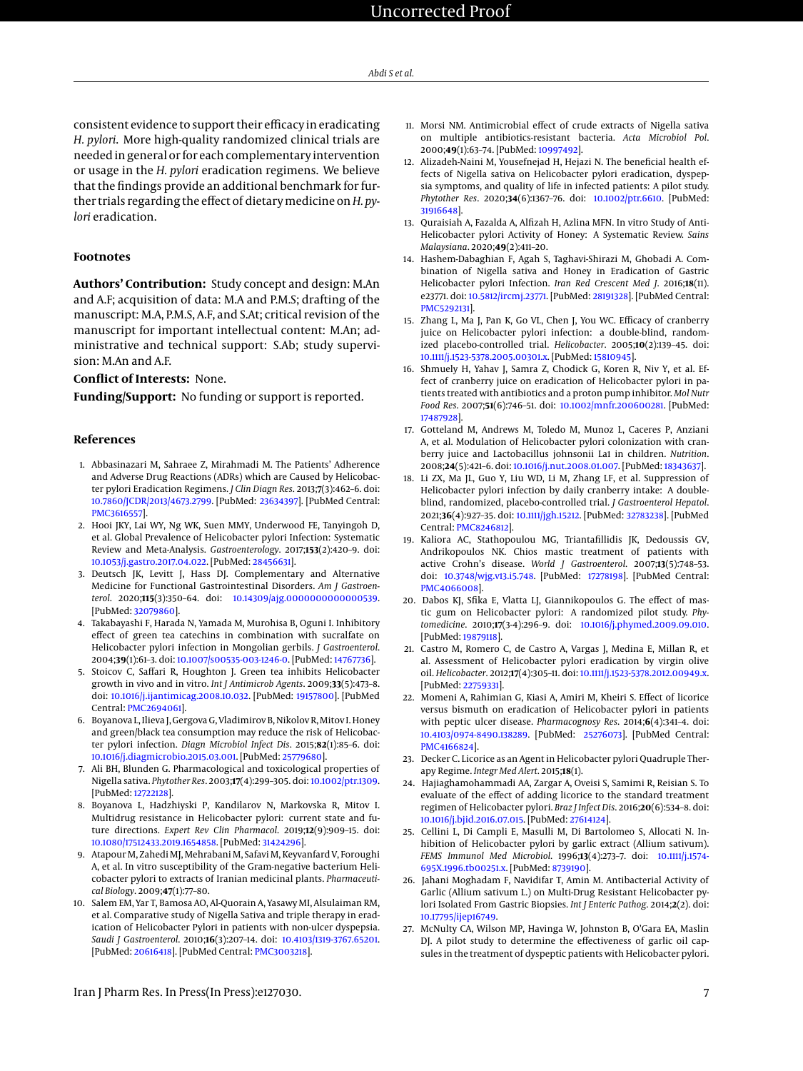consistent evidence to support their efficacy in eradicating *H. pylori*. More high-quality randomized clinical trials are needed in general or for each complementary intervention or usage in the *H. pylori* eradication regimens. We believe that the findings provide an additional benchmark for further trials regarding the effect of dietary medicine on*H. pylori* eradication.

#### **Footnotes**

**Authors' Contribution:** Study concept and design: M.An and A.F; acquisition of data: M.A and P.M.S; drafting of the manuscript: M.A, P.M.S, A.F, and S.At; critical revision of the manuscript for important intellectual content: M.An; administrative and technical support: S.Ab; study supervision: M.An and A.F.

#### **Conflict of Interests:** None.

**Funding/Support:** No funding or support is reported.

#### **References**

- <span id="page-6-0"></span>1. Abbasinazari M, Sahraee Z, Mirahmadi M. The Patients' Adherence and Adverse Drug Reactions (ADRs) which are Caused by Helicobacter pylori Eradication Regimens. *J Clin Diagn Res*. 2013;**7**(3):462–6. doi: [10.7860/JCDR/2013/4673.2799.](http://dx.doi.org/10.7860/JCDR/2013/4673.2799) [PubMed: [23634397\]](http://www.ncbi.nlm.nih.gov/pubmed/23634397). [PubMed Central: [PMC3616557\]](https://www.ncbi.nlm.nih.gov/pmc/articles/PMC3616557).
- <span id="page-6-1"></span>2. Hooi JKY, Lai WY, Ng WK, Suen MMY, Underwood FE, Tanyingoh D, et al. Global Prevalence of Helicobacter pylori Infection: Systematic Review and Meta-Analysis. *Gastroenterology*. 2017;**153**(2):420–9. doi: [10.1053/j.gastro.2017.04.022.](http://dx.doi.org/10.1053/j.gastro.2017.04.022) [PubMed: [28456631\]](http://www.ncbi.nlm.nih.gov/pubmed/28456631).
- <span id="page-6-2"></span>3. Deutsch JK, Levitt J, Hass DJ. Complementary and Alternative Medicine for Functional Gastrointestinal Disorders. *Am J Gastroenterol*. 2020;**115**(3):350–64. doi: [10.14309/ajg.0000000000000539.](http://dx.doi.org/10.14309/ajg.0000000000000539) [PubMed: [32079860\]](http://www.ncbi.nlm.nih.gov/pubmed/32079860).
- <span id="page-6-3"></span>4. Takabayashi F, Harada N, Yamada M, Murohisa B, Oguni I. Inhibitory effect of green tea catechins in combination with sucralfate on Helicobacter pylori infection in Mongolian gerbils. *J Gastroenterol*. 2004;**39**(1):61–3. doi: [10.1007/s00535-003-1246-0.](http://dx.doi.org/10.1007/s00535-003-1246-0) [PubMed: [14767736\]](http://www.ncbi.nlm.nih.gov/pubmed/14767736).
- <span id="page-6-4"></span>5. Stoicov C, Saffari R, Houghton J. Green tea inhibits Helicobacter growth in vivo and in vitro. *Int J Antimicrob Agents*. 2009;**33**(5):473–8. doi: [10.1016/j.ijantimicag.2008.10.032.](http://dx.doi.org/10.1016/j.ijantimicag.2008.10.032) [PubMed: [19157800\]](http://www.ncbi.nlm.nih.gov/pubmed/19157800). [PubMed Central: [PMC2694061\]](https://www.ncbi.nlm.nih.gov/pmc/articles/PMC2694061).
- <span id="page-6-5"></span>6. Boyanova L, Ilieva J, Gergova G, Vladimirov B, Nikolov R, Mitov I. Honey and green/black tea consumption may reduce the risk of Helicobacter pylori infection. *Diagn Microbiol Infect Dis*. 2015;**82**(1):85–6. doi: [10.1016/j.diagmicrobio.2015.03.001.](http://dx.doi.org/10.1016/j.diagmicrobio.2015.03.001) [PubMed: [25779680\]](http://www.ncbi.nlm.nih.gov/pubmed/25779680).
- <span id="page-6-6"></span>7. Ali BH, Blunden G. Pharmacological and toxicological properties of Nigella sativa. *Phytother Res*. 2003;**17**(4):299–305. doi: [10.1002/ptr.1309.](http://dx.doi.org/10.1002/ptr.1309) [PubMed: [12722128\]](http://www.ncbi.nlm.nih.gov/pubmed/12722128).
- 8. Boyanova L, Hadzhiyski P, Kandilarov N, Markovska R, Mitov I. Multidrug resistance in Helicobacter pylori: current state and future directions. *Expert Rev Clin Pharmacol*. 2019;**12**(9):909–15. doi: [10.1080/17512433.2019.1654858.](http://dx.doi.org/10.1080/17512433.2019.1654858) [PubMed: [31424296\]](http://www.ncbi.nlm.nih.gov/pubmed/31424296).
- <span id="page-6-7"></span>9. Atapour M, Zahedi MJ, Mehrabani M, Safavi M, Keyvanfard V, Foroughi A, et al. In vitro susceptibility of the Gram-negative bacterium Helicobacter pylori to extracts of Iranian medicinal plants. *Pharmaceutical Biology*. 2009;**47**(1):77–80.
- <span id="page-6-8"></span>10. Salem EM, Yar T, Bamosa AO, Al-Quorain A, Yasawy MI, Alsulaiman RM, et al. Comparative study of Nigella Sativa and triple therapy in eradication of Helicobacter Pylori in patients with non-ulcer dyspepsia. *Saudi J Gastroenterol*. 2010;**16**(3):207–14. doi: [10.4103/1319-3767.65201.](http://dx.doi.org/10.4103/1319-3767.65201) [PubMed: [20616418\]](http://www.ncbi.nlm.nih.gov/pubmed/20616418). [PubMed Central: [PMC3003218\]](https://www.ncbi.nlm.nih.gov/pmc/articles/PMC3003218).
- <span id="page-6-9"></span>11. Morsi NM. Antimicrobial effect of crude extracts of Nigella sativa on multiple antibiotics-resistant bacteria. *Acta Microbiol Pol*. 2000;**49**(1):63–74. [PubMed: [10997492\]](http://www.ncbi.nlm.nih.gov/pubmed/10997492).
- <span id="page-6-10"></span>12. Alizadeh-Naini M, Yousefnejad H, Hejazi N. The beneficial health effects of Nigella sativa on Helicobacter pylori eradication, dyspepsia symptoms, and quality of life in infected patients: A pilot study. *Phytother Res*. 2020;**34**(6):1367–76. doi: [10.1002/ptr.6610.](http://dx.doi.org/10.1002/ptr.6610) [PubMed: [31916648\]](http://www.ncbi.nlm.nih.gov/pubmed/31916648).
- <span id="page-6-11"></span>13. Quraisiah A, Fazalda A, Alfizah H, Azlina MFN. In vitro Study of Anti-Helicobacter pylori Activity of Honey: A Systematic Review. *Sains Malaysiana*. 2020;**49**(2):411–20.
- <span id="page-6-12"></span>14. Hashem-Dabaghian F, Agah S, Taghavi-Shirazi M, Ghobadi A. Combination of Nigella sativa and Honey in Eradication of Gastric Helicobacter pylori Infection. *Iran Red Crescent Med J*. 2016;**18**(11). e23771. doi: [10.5812/ircmj.23771.](http://dx.doi.org/10.5812/ircmj.23771) [PubMed: [28191328\]](http://www.ncbi.nlm.nih.gov/pubmed/28191328). [PubMed Central: [PMC5292131\]](https://www.ncbi.nlm.nih.gov/pmc/articles/PMC5292131).
- <span id="page-6-13"></span>15. Zhang L, Ma J, Pan K, Go VL, Chen J, You WC. Efficacy of cranberry juice on Helicobacter pylori infection: a double-blind, randomized placebo-controlled trial. *Helicobacter*. 2005;**10**(2):139–45. doi: [10.1111/j.1523-5378.2005.00301.x.](http://dx.doi.org/10.1111/j.1523-5378.2005.00301.x) [PubMed: [15810945\]](http://www.ncbi.nlm.nih.gov/pubmed/15810945).
- <span id="page-6-14"></span>16. Shmuely H, Yahav J, Samra Z, Chodick G, Koren R, Niv Y, et al. Effect of cranberry juice on eradication of Helicobacter pylori in patients treated with antibiotics and a proton pump inhibitor. *Mol Nutr Food Res*. 2007;**51**(6):746–51. doi: [10.1002/mnfr.200600281.](http://dx.doi.org/10.1002/mnfr.200600281) [PubMed: [17487928\]](http://www.ncbi.nlm.nih.gov/pubmed/17487928).
- <span id="page-6-15"></span>17. Gotteland M, Andrews M, Toledo M, Munoz L, Caceres P, Anziani A, et al. Modulation of Helicobacter pylori colonization with cranberry juice and Lactobacillus johnsonii La1 in children. *Nutrition*. 2008;**24**(5):421–6. doi: [10.1016/j.nut.2008.01.007.](http://dx.doi.org/10.1016/j.nut.2008.01.007) [PubMed: [18343637\]](http://www.ncbi.nlm.nih.gov/pubmed/18343637).
- <span id="page-6-16"></span>18. Li ZX, Ma JL, Guo Y, Liu WD, Li M, Zhang LF, et al. Suppression of Helicobacter pylori infection by daily cranberry intake: A doubleblind, randomized, placebo-controlled trial. *J Gastroenterol Hepatol*. 2021;**36**(4):927–35. doi: [10.1111/jgh.15212.](http://dx.doi.org/10.1111/jgh.15212) [PubMed: [32783238\]](http://www.ncbi.nlm.nih.gov/pubmed/32783238). [PubMed Central: [PMC8246812\]](https://www.ncbi.nlm.nih.gov/pmc/articles/PMC8246812).
- <span id="page-6-17"></span>19. Kaliora AC, Stathopoulou MG, Triantafillidis JK, Dedoussis GV, Andrikopoulos NK. Chios mastic treatment of patients with active Crohn's disease. *World J Gastroenterol*. 2007;**13**(5):748–53. doi: [10.3748/wjg.v13.i5.748.](http://dx.doi.org/10.3748/wjg.v13.i5.748) [PubMed: [17278198\]](http://www.ncbi.nlm.nih.gov/pubmed/17278198). [PubMed Central: [PMC4066008\]](https://www.ncbi.nlm.nih.gov/pmc/articles/PMC4066008).
- <span id="page-6-18"></span>20. Dabos KJ, Sfika E, Vlatta LJ, Giannikopoulos G. The effect of mastic gum on Helicobacter pylori: A randomized pilot study. *Phytomedicine*. 2010;**17**(3-4):296–9. doi: [10.1016/j.phymed.2009.09.010.](http://dx.doi.org/10.1016/j.phymed.2009.09.010) [PubMed: [19879118\]](http://www.ncbi.nlm.nih.gov/pubmed/19879118).
- <span id="page-6-19"></span>21. Castro M, Romero C, de Castro A, Vargas J, Medina E, Millan R, et al. Assessment of Helicobacter pylori eradication by virgin olive oil. *Helicobacter*. 2012;**17**(4):305–11. doi: [10.1111/j.1523-5378.2012.00949.x.](http://dx.doi.org/10.1111/j.1523-5378.2012.00949.x) [PubMed: [22759331\]](http://www.ncbi.nlm.nih.gov/pubmed/22759331).
- <span id="page-6-20"></span>22. Momeni A, Rahimian G, Kiasi A, Amiri M, Kheiri S. Effect of licorice versus bismuth on eradication of Helicobacter pylori in patients with peptic ulcer disease. *Pharmacognosy Res*. 2014;**6**(4):341–4. doi: [10.4103/0974-8490.138289.](http://dx.doi.org/10.4103/0974-8490.138289) [PubMed: [25276073\]](http://www.ncbi.nlm.nih.gov/pubmed/25276073). [PubMed Central: [PMC4166824\]](https://www.ncbi.nlm.nih.gov/pmc/articles/PMC4166824).
- <span id="page-6-21"></span>23. Decker C. Licorice as an Agent in Helicobacter pylori Quadruple Therapy Regime. *Integr Med Alert*. 2015;**18**(1).
- <span id="page-6-22"></span>24. Hajiaghamohammadi AA, Zargar A, Oveisi S, Samimi R, Reisian S. To evaluate of the effect of adding licorice to the standard treatment regimen of Helicobacter pylori. *Braz J Infect Dis*. 2016;**20**(6):534–8. doi: [10.1016/j.bjid.2016.07.015.](http://dx.doi.org/10.1016/j.bjid.2016.07.015) [PubMed: [27614124\]](http://www.ncbi.nlm.nih.gov/pubmed/27614124).
- <span id="page-6-23"></span>25. Cellini L, Di Campli E, Masulli M, Di Bartolomeo S, Allocati N. Inhibition of Helicobacter pylori by garlic extract (Allium sativum). *FEMS Immunol Med Microbiol*. 1996;**13**(4):273–7. doi: [10.1111/j.1574-](http://dx.doi.org/10.1111/j.1574-695X.1996.tb00251.x) [695X.1996.tb00251.x.](http://dx.doi.org/10.1111/j.1574-695X.1996.tb00251.x) [PubMed: [8739190\]](http://www.ncbi.nlm.nih.gov/pubmed/8739190).
- <span id="page-6-24"></span>26. Jahani Moghadam F, Navidifar T, Amin M. Antibacterial Activity of Garlic (Allium sativum L.) on Multi-Drug Resistant Helicobacter pylori Isolated From Gastric Biopsies. *Int J Enteric Pathog*. 2014;**2**(2). doi: [10.17795/ijep16749.](http://dx.doi.org/10.17795/ijep16749)
- <span id="page-6-25"></span>27. McNulty CA, Wilson MP, Havinga W, Johnston B, O'Gara EA, Maslin DJ. A pilot study to determine the effectiveness of garlic oil capsules in the treatment of dyspeptic patients with Helicobacter pylori.

Iran J Pharm Res. In Press(In Press):e127030. 7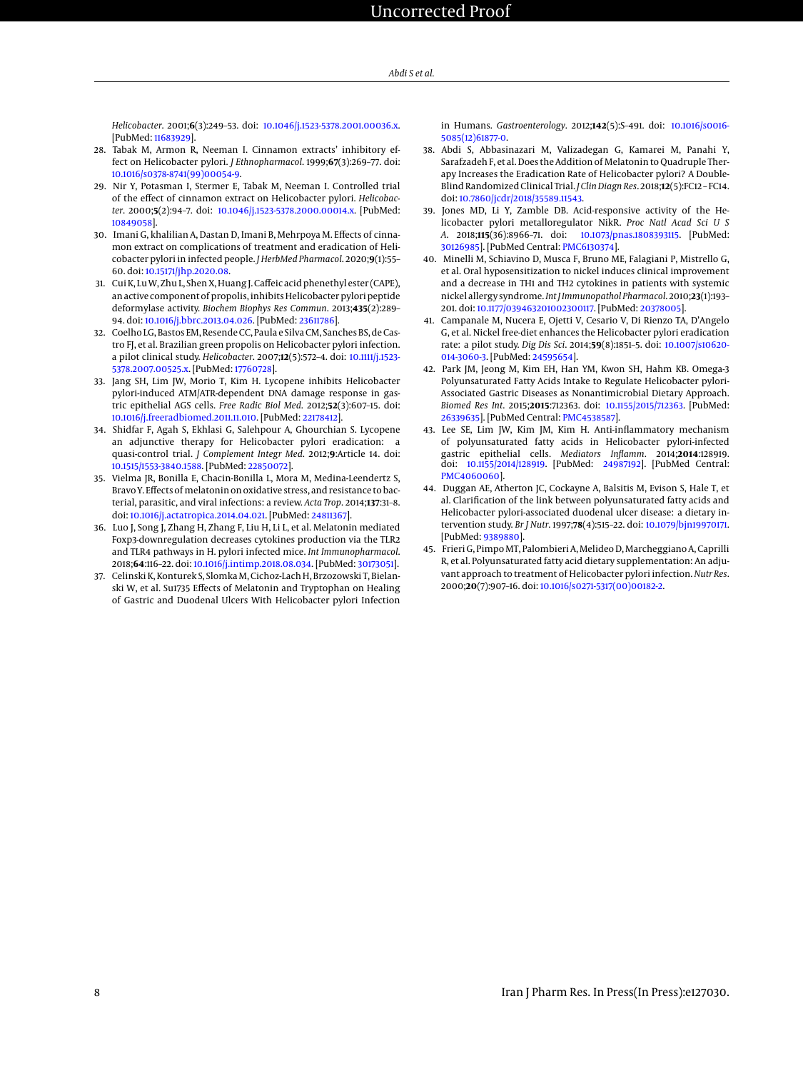*Helicobacter*. 2001;**6**(3):249–53. doi: [10.1046/j.1523-5378.2001.00036.x.](http://dx.doi.org/10.1046/j.1523-5378.2001.00036.x) [PubMed: [11683929\]](http://www.ncbi.nlm.nih.gov/pubmed/11683929).

- <span id="page-7-0"></span>28. Tabak M, Armon R, Neeman I. Cinnamon extracts' inhibitory effect on Helicobacter pylori. *J Ethnopharmacol*. 1999;**67**(3):269–77. doi: [10.1016/s0378-8741\(99\)00054-9.](http://dx.doi.org/10.1016/s0378-8741(99)00054-9)
- <span id="page-7-1"></span>29. Nir Y, Potasman I, Stermer E, Tabak M, Neeman I. Controlled trial of the effect of cinnamon extract on Helicobacter pylori. *Helicobacter*. 2000;**5**(2):94–7. doi: [10.1046/j.1523-5378.2000.00014.x.](http://dx.doi.org/10.1046/j.1523-5378.2000.00014.x) [PubMed: [10849058\]](http://www.ncbi.nlm.nih.gov/pubmed/10849058).
- <span id="page-7-2"></span>30. Imani G, khalilian A, Dastan D, Imani B, Mehrpoya M. Effects of cinnamon extract on complications of treatment and eradication of Helicobacter pylori in infected people. *J HerbMed Pharmacol*. 2020;**9**(1):55– 60. doi: [10.15171/jhp.2020.08.](http://dx.doi.org/10.15171/jhp.2020.08)
- <span id="page-7-3"></span>31. Cui K, Lu W, Zhu L, Shen X, Huang J. Caffeic acid phenethyl ester (CAPE), an active component of propolis, inhibits Helicobacter pylori peptide deformylase activity. *Biochem Biophys Res Commun*. 2013;**435**(2):289– 94. doi: [10.1016/j.bbrc.2013.04.026.](http://dx.doi.org/10.1016/j.bbrc.2013.04.026) [PubMed: [23611786\]](http://www.ncbi.nlm.nih.gov/pubmed/23611786).
- <span id="page-7-4"></span>32. Coelho LG, Bastos EM, Resende CC, Paula e Silva CM, Sanches BS, de Castro FJ, et al. Brazilian green propolis on Helicobacter pylori infection. a pilot clinical study. *Helicobacter*. 2007;**12**(5):572–4. doi: [10.1111/j.1523-](http://dx.doi.org/10.1111/j.1523-5378.2007.00525.x) [5378.2007.00525.x.](http://dx.doi.org/10.1111/j.1523-5378.2007.00525.x) [PubMed: [17760728\]](http://www.ncbi.nlm.nih.gov/pubmed/17760728).
- <span id="page-7-5"></span>33. Jang SH, Lim JW, Morio T, Kim H. Lycopene inhibits Helicobacter pylori-induced ATM/ATR-dependent DNA damage response in gastric epithelial AGS cells. *Free Radic Biol Med*. 2012;**52**(3):607–15. doi: [10.1016/j.freeradbiomed.2011.11.010.](http://dx.doi.org/10.1016/j.freeradbiomed.2011.11.010) [PubMed: [22178412\]](http://www.ncbi.nlm.nih.gov/pubmed/22178412).
- <span id="page-7-6"></span>34. Shidfar F, Agah S, Ekhlasi G, Salehpour A, Ghourchian S. Lycopene an adjunctive therapy for Helicobacter pylori eradication: a quasi-control trial. *J Complement Integr Med*. 2012;**9**:Article 14. doi: [10.1515/1553-3840.1588.](http://dx.doi.org/10.1515/1553-3840.1588) [PubMed: [22850072\]](http://www.ncbi.nlm.nih.gov/pubmed/22850072).
- <span id="page-7-7"></span>35. Vielma JR, Bonilla E, Chacin-Bonilla L, Mora M, Medina-Leendertz S, Bravo Y. Effects of melatonin on oxidative stress, and resistance to bacterial, parasitic, and viral infections: a review. *Acta Trop*. 2014;**137**:31–8. doi: [10.1016/j.actatropica.2014.04.021.](http://dx.doi.org/10.1016/j.actatropica.2014.04.021) [PubMed: [24811367\]](http://www.ncbi.nlm.nih.gov/pubmed/24811367).
- <span id="page-7-8"></span>36. Luo J, Song J, Zhang H, Zhang F, Liu H, Li L, et al. Melatonin mediated Foxp3-downregulation decreases cytokines production via the TLR2 and TLR4 pathways in H. pylori infected mice. *Int Immunopharmacol*. 2018;**64**:116–22. doi: [10.1016/j.intimp.2018.08.034.](http://dx.doi.org/10.1016/j.intimp.2018.08.034) [PubMed: [30173051\]](http://www.ncbi.nlm.nih.gov/pubmed/30173051).
- <span id="page-7-9"></span>37. Celinski K, Konturek S, Slomka M, Cichoz-Lach H, Brzozowski T, Bielanski W, et al. Su1735 Effects of Melatonin and Tryptophan on Healing of Gastric and Duodenal Ulcers With Helicobacter pylori Infection

in Humans. *Gastroenterology*. 2012;**142**(5):S–491. doi: [10.1016/s0016-](http://dx.doi.org/10.1016/s0016-5085(12)61877-0) [5085\(12\)61877-0.](http://dx.doi.org/10.1016/s0016-5085(12)61877-0)

- <span id="page-7-10"></span>38. Abdi S, Abbasinazari M, Valizadegan G, Kamarei M, Panahi Y, Sarafzadeh F, et al. Does the Addition of Melatonin to Quadruple Therapy Increases the Eradication Rate of Helicobacter pylori? A Double-Blind Randomized Clinical Trial. *J Clin Diagn Res*. 2018;**12**(5):FC12 – FC14. doi: [10.7860/jcdr/2018/35589.11543.](http://dx.doi.org/10.7860/jcdr/2018/35589.11543)
- <span id="page-7-11"></span>39. Jones MD, Li Y, Zamble DB. Acid-responsive activity of the Helicobacter pylori metalloregulator NikR. *Proc Natl Acad Sci U S A*. 2018;**115**(36):8966–71. doi: [10.1073/pnas.1808393115.](http://dx.doi.org/10.1073/pnas.1808393115) [PubMed: [30126985\]](http://www.ncbi.nlm.nih.gov/pubmed/30126985). [PubMed Central: [PMC6130374\]](https://www.ncbi.nlm.nih.gov/pmc/articles/PMC6130374).
- <span id="page-7-12"></span>40. Minelli M, Schiavino D, Musca F, Bruno ME, Falagiani P, Mistrello G, et al. Oral hyposensitization to nickel induces clinical improvement and a decrease in TH1 and TH2 cytokines in patients with systemic nickel allergy syndrome. *Int J Immunopathol Pharmacol*. 2010;**23**(1):193– 201. doi: [10.1177/039463201002300117.](http://dx.doi.org/10.1177/039463201002300117) [PubMed: [20378005\]](http://www.ncbi.nlm.nih.gov/pubmed/20378005).
- <span id="page-7-13"></span>41. Campanale M, Nucera E, Ojetti V, Cesario V, Di Rienzo TA, D'Angelo G, et al. Nickel free-diet enhances the Helicobacter pylori eradication rate: a pilot study. *Dig Dis Sci*. 2014;**59**(8):1851–5. doi: [10.1007/s10620-](http://dx.doi.org/10.1007/s10620-014-3060-3) [014-3060-3.](http://dx.doi.org/10.1007/s10620-014-3060-3) [PubMed: [24595654\]](http://www.ncbi.nlm.nih.gov/pubmed/24595654).
- <span id="page-7-14"></span>42. Park JM, Jeong M, Kim EH, Han YM, Kwon SH, Hahm KB. Omega-3 Polyunsaturated Fatty Acids Intake to Regulate Helicobacter pylori-Associated Gastric Diseases as Nonantimicrobial Dietary Approach. *Biomed Res Int*. 2015;**2015**:712363. doi: [10.1155/2015/712363.](http://dx.doi.org/10.1155/2015/712363) [PubMed: [26339635\]](http://www.ncbi.nlm.nih.gov/pubmed/26339635). [PubMed Central: [PMC4538587\]](https://www.ncbi.nlm.nih.gov/pmc/articles/PMC4538587).
- <span id="page-7-15"></span>43. Lee SE, Lim JW, Kim JM, Kim H. Anti-inflammatory mechanism of polyunsaturated fatty acids in Helicobacter pylori-infected gastric epithelial cells. *Mediators Inflamm*. 2014;**2014**:128919. doi: [10.1155/2014/128919.](http://dx.doi.org/10.1155/2014/128919) [PubMed: [24987192\]](http://www.ncbi.nlm.nih.gov/pubmed/24987192). [PubMed Central: [PMC4060060\]](https://www.ncbi.nlm.nih.gov/pmc/articles/PMC4060060).
- <span id="page-7-16"></span>44. Duggan AE, Atherton JC, Cockayne A, Balsitis M, Evison S, Hale T, et al. Clarification of the link between polyunsaturated fatty acids and Helicobacter pylori-associated duodenal ulcer disease: a dietary intervention study. *Br J Nutr*. 1997;**78**(4):515–22. doi: [10.1079/bjn19970171.](http://dx.doi.org/10.1079/bjn19970171) [PubMed: [9389880\]](http://www.ncbi.nlm.nih.gov/pubmed/9389880).
- <span id="page-7-17"></span>45. Frieri G, Pimpo MT, Palombieri A, Melideo D, Marcheggiano A, Caprilli R, et al. Polyunsaturated fatty acid dietary supplementation: An adjuvant approach to treatment of Helicobacter pylori infection. *Nutr Res*. 2000;**20**(7):907–16. doi: [10.1016/s0271-5317\(00\)00182-2.](http://dx.doi.org/10.1016/s0271-5317(00)00182-2)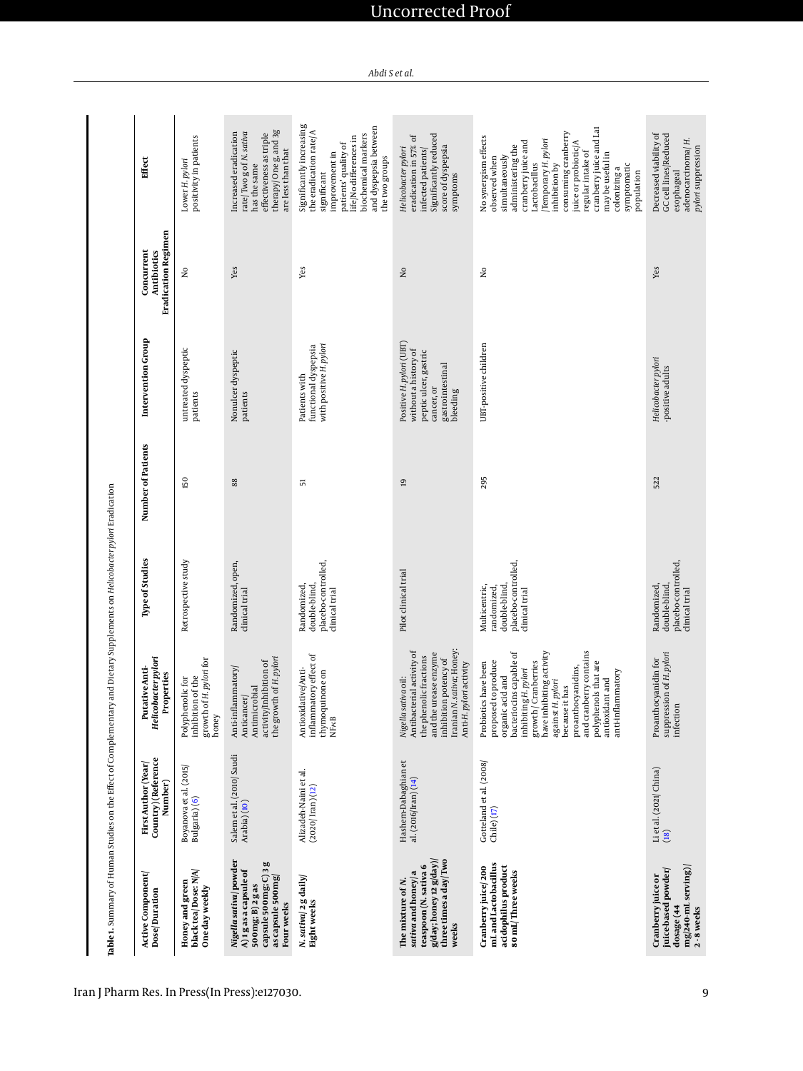| Active Component<br>Dose/Duration                                                                                                   | Country) (Reference<br>First Author (Year)<br>Number) | Helicobacter pylori<br>Putative Anti-<br>Properties                                                                                                                                                                                                                                                                           | Type of Studies                                                                      | Number of Patients | Intervention Group                                                                                                      | <b>Eradication Regimen</b><br>Concurrent<br>Antibiotics | Effect                                                                                                                                                                                                                                                                                                                       |
|-------------------------------------------------------------------------------------------------------------------------------------|-------------------------------------------------------|-------------------------------------------------------------------------------------------------------------------------------------------------------------------------------------------------------------------------------------------------------------------------------------------------------------------------------|--------------------------------------------------------------------------------------|--------------------|-------------------------------------------------------------------------------------------------------------------------|---------------------------------------------------------|------------------------------------------------------------------------------------------------------------------------------------------------------------------------------------------------------------------------------------------------------------------------------------------------------------------------------|
| black tea/Dose: N/A/<br>Honey and green<br>One day weekly                                                                           | Boyanova et al. (2015/<br>Bulgaria) (6)               | growth of H. pylori for<br>inhibition of the<br>Polyphenolic for<br>honey                                                                                                                                                                                                                                                     | Retrospective study                                                                  | 150                | untreated dyspeptic<br>patients                                                                                         | $\overline{\mathsf{x}}$                                 | positivity in patients<br>Lower H. pylori                                                                                                                                                                                                                                                                                    |
| Nigella sativa/powder<br>capsule 500mg; C) 3 g<br>A)1g as a capsule of<br>as capsule 500mg<br>500mg; B) 2 g as<br>Four weeks        | Salem et al. (2010/Saudi<br>Arabia)(10)               | the growth of H. pylori<br>activity/Inhibition of<br>Anti-inflammatory<br>Antimicrobial<br>Anticancer/                                                                                                                                                                                                                        | Randomized, open,<br>clinical trial                                                  | 88                 | Nonulcer dyspeptic<br>patients                                                                                          | Yes                                                     | therapy/Oneg, and 3g<br>rate/Two g of N. sativa<br>Increased eradication<br>effectiveness as triple<br>are less than that<br>has the same                                                                                                                                                                                    |
| N. sativa/ 2 g daily/<br>Eight weeks                                                                                                | Alizadeh-Naini et al.<br>$(2020)$ Iran $)(12)$        | inflammatory effect of<br>Antioxidative/Anti-<br>thymoquinone on<br><b>NF<sub>K</sub>B</b>                                                                                                                                                                                                                                    | placebo-controlled,<br>double-blind,<br>Randomized<br>clinical trial                 | 57                 | functional dyspepsia<br>with positive H. pylori<br>Patients with                                                        | Yes                                                     | Significantly increasing<br>and dyspepsia between<br>the eradication rate/A<br>biochemical markers<br>life/No differences in<br>patients' quality of<br>improvement in<br>the two groups<br>significant                                                                                                                      |
| three times a day/Two<br>$g$ /day; honey 12 $g$ /day)<br>teaspoon (N. sativa 6<br>sativa and honey/ a<br>The mixture of N.<br>weeks | Hashem-Dabaghian et<br>al. (2016/Iran) (14)           | Iranian N. sativa; Honey:<br>Nigella sativa oil:<br>Antibacterial activity of<br>and the urease enzyme<br>the phenolic fractions<br>inhibition potency of<br>Anti-H. pylori activity                                                                                                                                          | Pilot clinical trial                                                                 | $\overline{a}$     | Positive H. pylori (UBT)<br>without a history of<br>peptic ulcer, gastric<br>gastrointestinal<br>cancer, or<br>bleeding | $\overline{\mathsf{a}}$                                 | Significantly reduced<br>ð<br>eradication in 57%<br>score of dyspepsia<br>Helicobacter pylori<br>infected patients<br>symptoms                                                                                                                                                                                               |
| mL and Lactobacillus<br>acidophilus product<br>Cranberry juice 200<br>80 mL/Three weeks                                             | Gotteland et al. (2008)<br>Chile)(17)                 | and cranberry contains<br>bacteriocins capable of<br>have inhibiting activity<br>polyphenols that are<br>proposed to produce<br>growth / Cranberries<br>Probiotics have been<br>proanthocyanidins,<br>inhibiting H. pylori<br>anti-inflammatory<br>organic acid and<br>antioxidant and<br>against H. pylori<br>because it has | placebo-controlled,<br>double-blind<br>Multicentric,<br>randomized<br>clinical trial | 295                | UBT-positive children                                                                                                   | $\mathsf{S}^{\mathsf{O}}$                               | cranberry juice and Lat<br>consuming cranberry<br>No synergism effects<br>Temporary H. pylori<br>cranberry juice and<br>juice or probiotic/A<br>administering the<br>regular intake of<br>may be useful in<br>simultaneously<br>observed when<br>Lactobacillus<br>symptomatic<br>inhibition by<br>colonizing a<br>population |
| mg/240-mL serving)<br>juice-based powder/<br>Cranberry juice or<br>dosage (44<br>2-8 weeks                                          | Li et al. (2021/China)<br>(18)                        | suppression of H. pylori<br>Proanthocyanidin for<br>infection                                                                                                                                                                                                                                                                 | placebo-controlled,<br>double-blind<br>Randomized<br>clinical trial                  | 522                | Helicobacter pylori<br>-positive adults                                                                                 | Yes                                                     | Decreased viability of<br>GC cell lines/Reduced<br>adenocarcinoma/H.<br>pylori suppression<br>esophageal                                                                                                                                                                                                                     |

Table 1. Summary of Human Studies on the Effect of Complementary and Dietary Supplements on Helicobacter pylori Eradication **Table 1.** Summary of Human Studies on the Effect of Complementary and Dietary Supplements on *Helicobacter pylori* Eradication

Iran J Pharm Res. In Press(In Press):e127030. 9

### <span id="page-8-0"></span>Uncorrected Proof

*Abdi S et al.*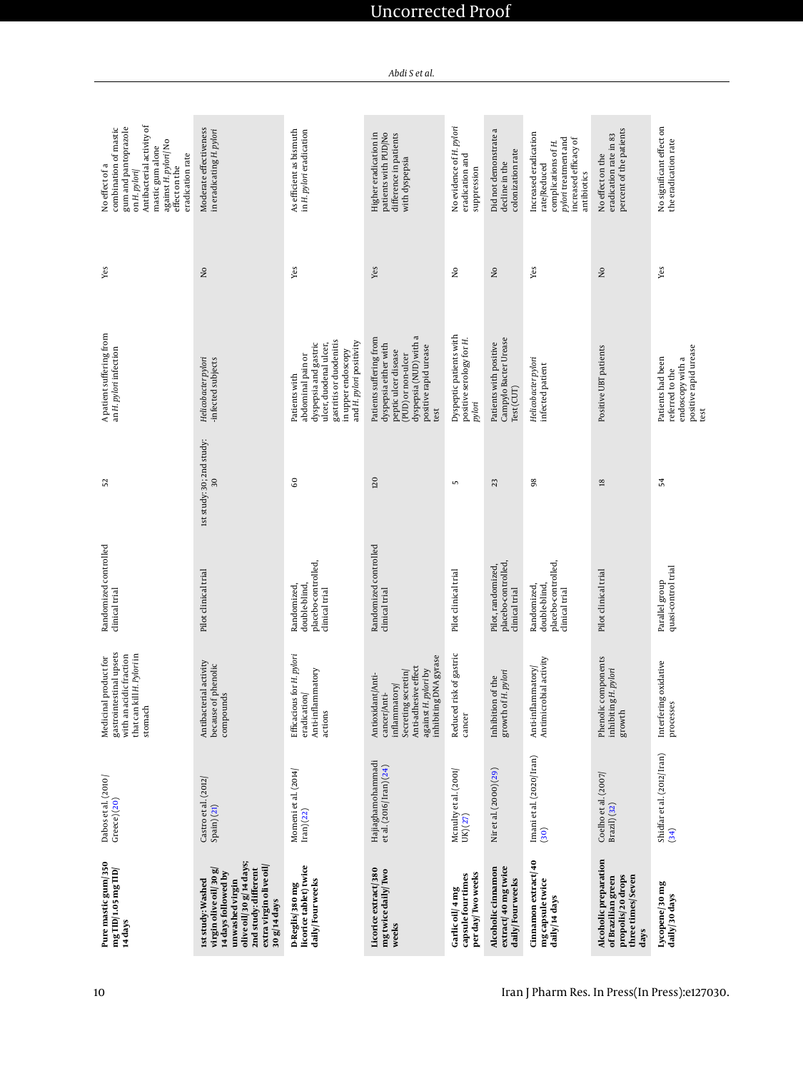| Pure mastic gum/ 350<br>mg TID/1.05 mg TID/<br>14 days                                                                                                                            | Dabos et al. (2010)<br>$Greeze)$ $(20)$       | gastrointestinal upsets<br>with an acidic fraction<br>that can kill H. Pylori in<br>Medicinal product for<br>stomach                              | Randomized controlled<br>clinical trial                              | 52                              | A patient suffering from<br>an H. pylori infection                                                                                                                 | Уes                     | Antibacterial activity of<br>combination of mastic<br>gum and pantoprazole<br>against H. pylori/No<br>mastic gum alone<br>eradication rate<br>No effect of a<br>effect on the<br>on H. pylori |
|-----------------------------------------------------------------------------------------------------------------------------------------------------------------------------------|-----------------------------------------------|---------------------------------------------------------------------------------------------------------------------------------------------------|----------------------------------------------------------------------|---------------------------------|--------------------------------------------------------------------------------------------------------------------------------------------------------------------|-------------------------|-----------------------------------------------------------------------------------------------------------------------------------------------------------------------------------------------|
| olive oil/30 g/14 days;<br>extra virgin olive oil<br>virgin olive oil 30 g<br>2nd study: different<br>14 days followed by<br>Ist study: Washed<br>unwashed virgin<br>30 g/14 days | Castro et al. (2012)<br>Spain)(21)            | Antibacterial activity<br>because of phenolic<br>compounds                                                                                        | Pilot clinical trial                                                 | 1st study: 30; 2nd study:<br>30 | Helicobacter pylori<br>-infected subjects                                                                                                                          | $\rm _{2}^{\circ}$      | Moderate effectiveness<br>in eradicating H. pylori                                                                                                                                            |
| licorice tablet) twice<br>daily/Four weeks<br>D-Reglis/380 mg                                                                                                                     | Momeni et al. (2014)<br>$\text{tran}(22)$     | Efficacious for H. pylori<br>Anti-inflammatory<br>eradication/<br>actions                                                                         | placebo-controlled,<br>Randomized,<br>double-blind<br>clinical trial | GO                              | gastritis or duodenitis<br>and H. pylori positivity<br>dyspepsia and gastric<br>ulcer, duodenal ulcer,<br>in upper endoscopy<br>abdominal pain or<br>Patients with | Yes                     | As efficient as bismuth<br>in H. pylori eradication                                                                                                                                           |
| Licorice extract/380<br>mg twice daily/Two<br>weeks                                                                                                                               | Hajiaghamohammadi<br>et al. (2016/ Iran) (24) | inhibiting DNA gyrase<br>Anti-adhesive effect<br>against H. pylori by<br>Secreting secretin/<br>Antioxidant/Anti-<br>inflammatory<br>cancer/Anti- | Randomized controlled<br>clinical trial                              | 120                             | dyspepsia (NUD) with a<br>Patients suffering from<br>dyspepsia either with<br>positive rapid urease<br>peptic ulcer disease<br>(PUD) or non-ulcer<br>test          | Yes                     | Higher eradication in<br>patients with PUD/No<br>difference in patients<br>with dyspepsia                                                                                                     |
| per day/Two weeks<br>capsule four times<br>Garlic oil/ 4 mg                                                                                                                       | Mcnulty et al. (2001/<br>UK) (27)             | Reduced risk of gastric<br>$\blacksquare$<br>cancer                                                                                               | Pilot clinical trial                                                 | 5                               | Dyspeptic patients with<br>positive serology for H.<br>pylori                                                                                                      | $\overline{\mathsf{x}}$ | No evidence of H. pylori<br>eradication and<br>suppression                                                                                                                                    |
| extract/40 mg twice<br>Alcoholic cinnamon<br>daily/Four weeks                                                                                                                     | Nir et al. (2000) (29)                        | growth of H. pylori<br>Inhibition of the                                                                                                          | placebo-controlled<br>Pilot, randomized<br>clinical trial            | 23                              | Campylo Bacter Urease<br>Patients with positive<br>Test (CUT)                                                                                                      | $\overline{\mathsf{x}}$ | Did not demonstrate a<br>colonization rate<br>decline in the                                                                                                                                  |
| Cinnamon extract/40<br>mg capsule twice<br>daily/14 days                                                                                                                          | Imani et al. (2020/Iran)<br>(30)              | Antimicrobial activity<br>Anti-inflammatory                                                                                                       | placebo-controlled,<br>Randomized,<br>double-blind<br>clinical trial | 98                              | Helicobacter pylori<br>infected patient                                                                                                                            | Yes                     | Increased eradication<br>pylori treatment and<br>increased efficacy of<br>complications of H.<br>rate/Reduced<br>antibiotics                                                                  |
| Alcoholic preparation<br>propolis/20 drops<br>three times/Seven<br>of Brazilian green<br>days                                                                                     | Coelho et al. (2007/<br>Brazil) (32)          | Phenolic components<br>inhibiting H. pylori<br>growth                                                                                             | Pilot clinical trial                                                 | $\overline{18}$                 | Positive UBT patients                                                                                                                                              | $\overline{\mathsf{a}}$ | percent of the patients<br>eradication rate in 83<br>No effect on the                                                                                                                         |
| Lycopene 30 mg<br>daily/30 days                                                                                                                                                   | Shidfar et al. (2012/Iran)<br>(34)            | Interfering oxidative<br>processes                                                                                                                | quasi-control trial<br>Parallel group                                | 54                              | positive rapid urease<br>Patients had been<br>endoscopy with a<br>referred to the<br>test                                                                          | Yes                     | No significant effect on<br>the eradication rate                                                                                                                                              |

*Abdi S et al.*